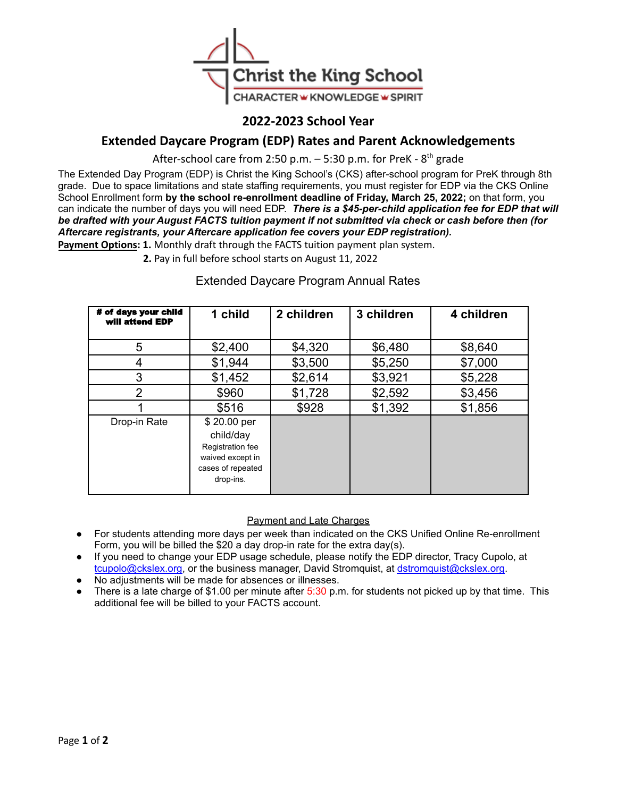

# **2022-2023 School Year**

# **Extended Daycare Program (EDP) Rates and Parent Acknowledgements**

After-school care from 2:50 p.m.  $-$  5:30 p.m. for PreK -  $8<sup>th</sup>$  grade

The Extended Day Program (EDP) is Christ the King School's (CKS) after-school program for PreK through 8th grade. Due to space limitations and state staffing requirements, you must register for EDP via the CKS Online School Enrollment form **by the school re-enrollment deadline of Friday, March 25, 2022;** on that form, you can indicate the number of days you will need EDP. *There is a \$45-per-child application fee for EDP that will* be drafted with your August FACTS tuition payment if not submitted via check or cash before then (for *Aftercare registrants, your Aftercare application fee covers your EDP registration).*

**Payment Options: 1.** Monthly draft through the FACTS tuition payment plan system.

**2.** Pay in full before school starts on August 11, 2022

### # of days your child will attend EDP **1 child 2 children 3 children 4 children** 5 | \$2,400 | \$4,320 | \$6,480 | \$8,640 4 | \$1,944 | \$3,500 | \$5,250 | \$7,000 3 \$1,452 \$2,614 \$3,921 \$5,228 2 | \$960 | \$1,728 | \$2,592 | \$3,456 1 | \$516 | \$928 | \$1,392 | \$1,856 Drop-in Rate \$20.00 per child/day Registration fee waived except in cases of repeated drop-ins.

## Extended Daycare Program Annual Rates

#### Payment and Late Charges

- For students attending more days per week than indicated on the CKS Unified Online Re-enrollment Form, you will be billed the \$20 a day drop-in rate for the extra day(s).
- If you need to change your EDP usage schedule, please notify the EDP director, Tracy Cupolo, at [tcupolo@ckslex.org,](mailto:tcupolo@ckslex.org) or the business manager, David Stromquist, at [dstromquist@ckslex.org](mailto:dstromquist@ckslex.org).
- No adjustments will be made for absences or illnesses.
- There is a late charge of \$1.00 per minute after  $5:30$  p.m. for students not picked up by that time. This additional fee will be billed to your FACTS account.